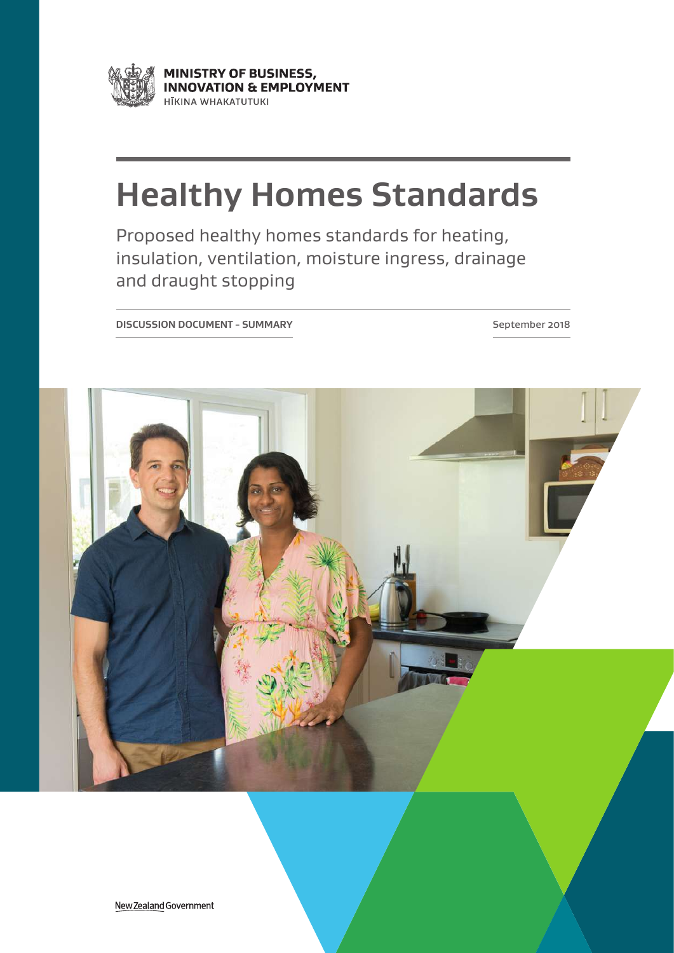

MINISTRY OF BUSINESS, **INNOVATION & EMPLOYMENT** HĪKINA WHAKATUTUKI

# **Healthy Homes Standards**

Proposed healthy homes standards for heating, insulation, ventilation, moisture ingress, drainage and draught stopping

**DISCUSSION DOCUMENT - SUMMARY September 2018** 

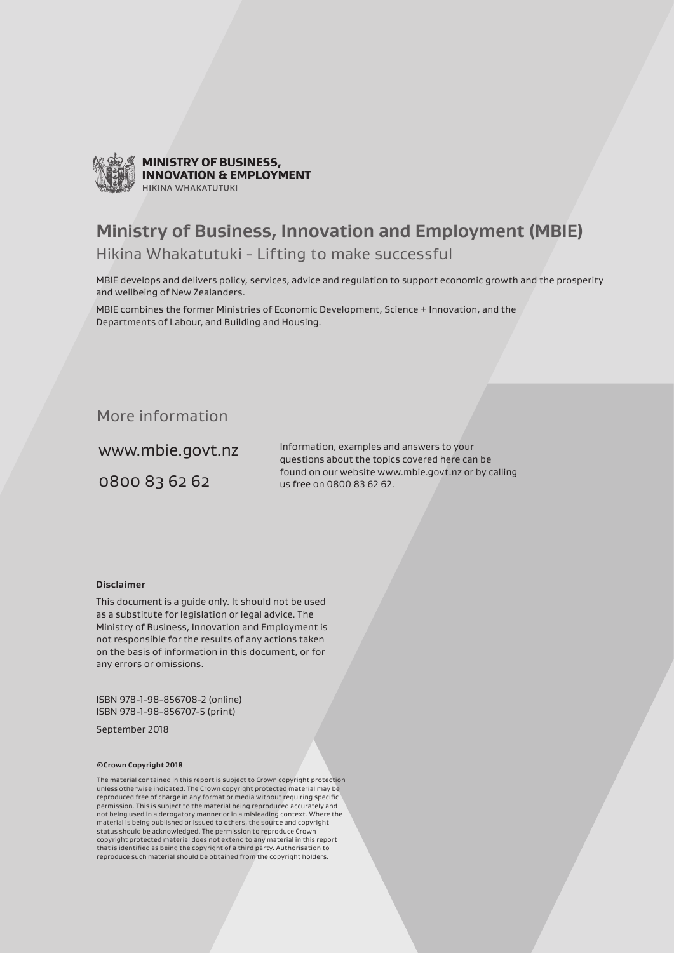

**MINISTRY OF BUSINESS, INNOVATION & EMPLOYMENT** HĪKINA WHAKATIITIIKI

## **Ministry of Business, Innovation and Employment (MBIE)**

### Hikina Whakatutuki - Lifting to make successful

MBIE develops and delivers policy, services, advice and regulation to support economic growth and the prosperity and wellbeing of New Zealanders.

MBIE combines the former Ministries of Economic Development, Science + Innovation, and the Departments of Labour, and Building and Housing.

### More information

www.mbie.govt.nz

0800 83 62 62

Information, examples and answers to your questions about the topics covered here can be found on our website www.mbie.govt.nz or by calling us free on 0800 83 62 62.

#### **Disclaimer**

This document is a guide only. It should not be used as a substitute for legislation or legal advice. The Ministry of Business, Innovation and Employment is not responsible for the results of any actions taken on the basis of information in this document, or for any errors or omissions.

ISBN 978-1-98-856708-2 (online) ISBN 978-1-98-856707-5 (print)

September 2018

#### **©Crown Copyright 2018**

The material contained in this report is subject to Crown copyright protection unless otherwise indicated. The Crown copyright protected material may be reproduced free of charge in any format or media without requiring specific permission. This is subject to the material being reproduced accurately and not being used in a derogatory manner or in a misleading context. Where the material is being published or issued to others, the source and copyright status should be acknowledged. The permission to reproduce Crown copyright protected material does not extend to any material in this report that is identified as being the copyright of a third party. Authorisation to reproduce such material should be obtained from the copyright holders.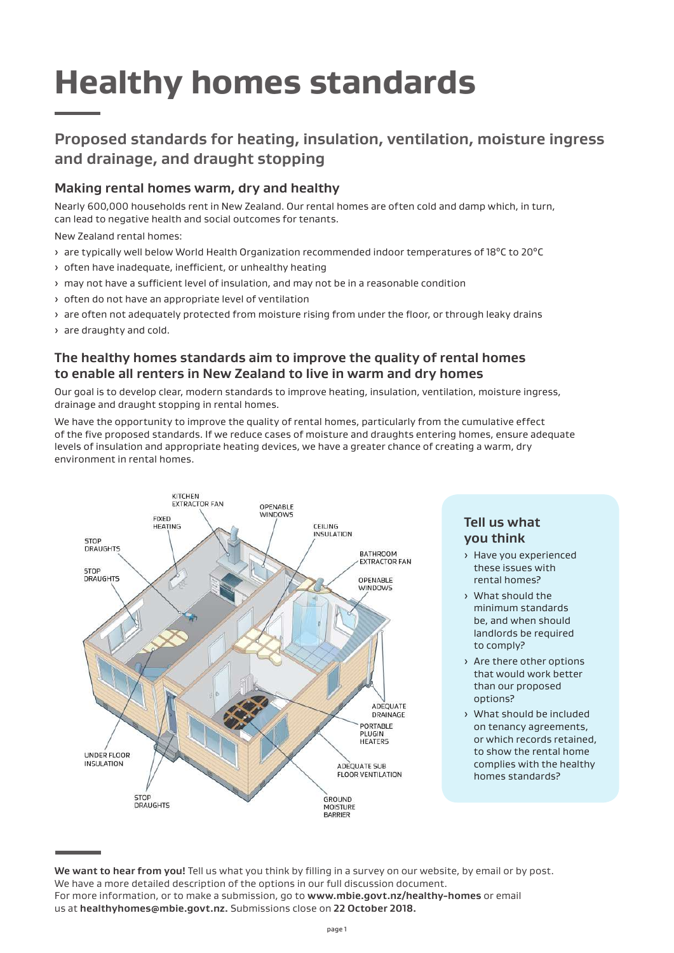# **Healthy homes standards**

## **Proposed standards for heating, insulation, ventilation, moisture ingress and drainage, and draught stopping**

### **Making rental homes warm, dry and healthy**

Nearly 600,000 households rent in New Zealand. Our rental homes are often cold and damp which, in turn, can lead to negative health and social outcomes for tenants.

New Zealand rental homes:

- > are typically well below World Health Organization recommended indoor temperatures of 18°C to 20°C
- › often have inadequate, inefficient, or unhealthy heating
- › may not have a sufficient level of insulation, and may not be in a reasonable condition
- › often do not have an appropriate level of ventilation
- › are often not adequately protected from moisture rising from under the floor, or through leaky drains

› are draughty and cold.

### **The healthy homes standards aim to improve the quality of rental homes to enable all renters in New Zealand to live in warm and dry homes**

Our goal is to develop clear, modern standards to improve heating, insulation, ventilation, moisture ingress, drainage and draught stopping in rental homes.

We have the opportunity to improve the quality of rental homes, particularly from the cumulative effect of the five proposed standards. If we reduce cases of moisture and draughts entering homes, ensure adequate levels of insulation and appropriate heating devices, we have a greater chance of creating a warm, dry environment in rental homes.



### **Tell us what you think**

- › Have you experienced these issues with rental homes?
- › What should the minimum standards be, and when should landlords be required to comply?
- › Are there other options that would work better than our proposed options?
- › What should be included on tenancy agreements, or which records retained, to show the rental home complies with the healthy homes standards?

**We want to hear from you!** Tell us what you think by filling in a survey on our website, by email or by post. We have a more detailed description of the options in our full discussion document. For more information, or to make a submission, go to **www.mbie.govt.nz/healthy-homes** or email us at **healthyhomes@mbie.govt.nz.** Submissions close on **22 October 2018.**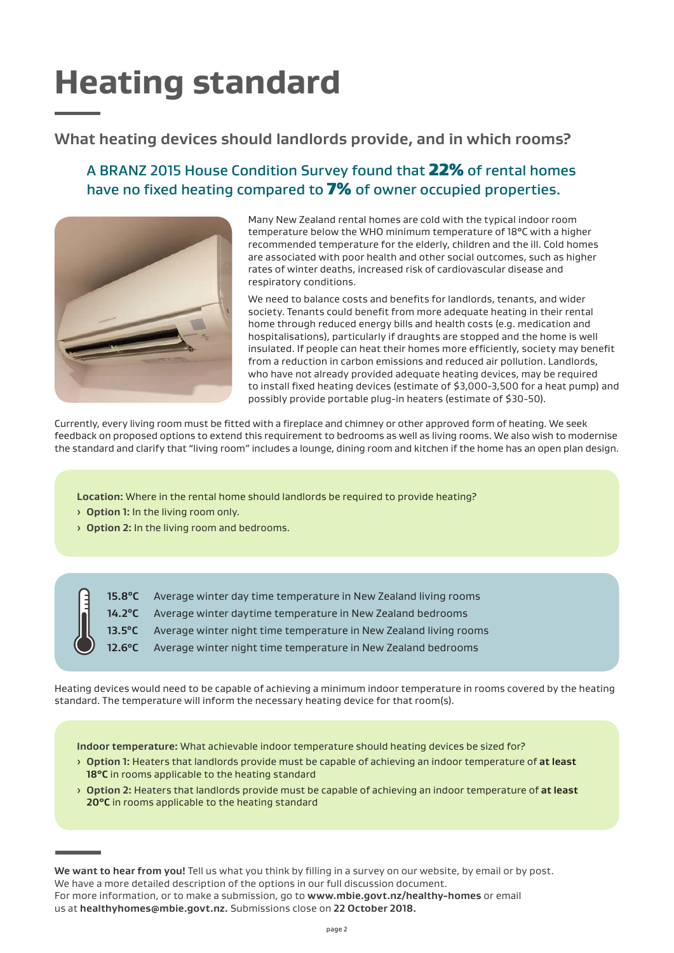# **Heating standard**

## **What heating devices should landlords provide, and in which rooms?**

## A BRANZ 2015 House Condition Survey found that 22% of rental homes have no fixed heating compared to 7% of owner occupied properties.



Many New Zealand rental homes are cold with the typical indoor room temperature below the WHO minimum temperature of 18°C with a higher recommended temperature for the elderly, children and the ill. Cold homes are associated with poor health and other social outcomes, such as higher rates of winter deaths, increased risk of cardiovascular disease and respiratory conditions.

We need to balance costs and benefits for landlords, tenants, and wider society. Tenants could benefit from more adequate heating in their rental home through reduced energy bills and health costs (e.g. medication and hospitalisations), particularly if draughts are stopped and the home is well insulated. If people can heat their homes more efficiently, society may benefit from a reduction in carbon emissions and reduced air pollution. Landlords, who have not already provided adequate heating devices, may be required to install fixed heating devices (estimate of \$3,000-3,500 for a heat pump) and possibly provide portable plug-in heaters (estimate of \$30-50).

Currently, every living room must be fitted with a fireplace and chimney or other approved form of heating. We seek feedback on proposed options to extend this requirement to bedrooms as well as living rooms. We also wish to modernise the standard and clarify that "living room" includes a lounge, dining room and kitchen if the home has an open plan design.

**Location:** Where in the rental home should landlords be required to provide heating?

- › **Option 1:** In the living room only.
- › **Option 2:** In the living room and bedrooms.



- **15.8<sup>o</sup>C** Average winter day time temperature in New Zealand living rooms
- 14.2<sup>o</sup>C Average winter daytime temperature in New Zealand bedrooms
- **13.5°C** Average winter night time temperature in New Zealand living rooms
- **12.6<sup>o</sup>C** Average winter night time temperature in New Zealand bedrooms

Heating devices would need to be capable of achieving a minimum indoor temperature in rooms covered by the heating standard. The temperature will inform the necessary heating device for that room(s).

**Indoor temperature:** What achievable indoor temperature should heating devices be sized for?

- › **Option 1:** Heaters that landlords provide must be capable of achieving an indoor temperature of **at least 18°C** in rooms applicable to the heating standard
- › **Option 2:** Heaters that landlords provide must be capable of achieving an indoor temperature of **at least 20°C** in rooms applicable to the heating standard

**We want to hear from you!** Tell us what you think by filling in a survey on our website, by email or by post. We have a more detailed description of the options in our full discussion document. For more information, or to make a submission, go to **www.mbie.govt.nz/healthy-homes** or email us at **healthyhomes@mbie.govt.nz.** Submissions close on **22 October 2018.**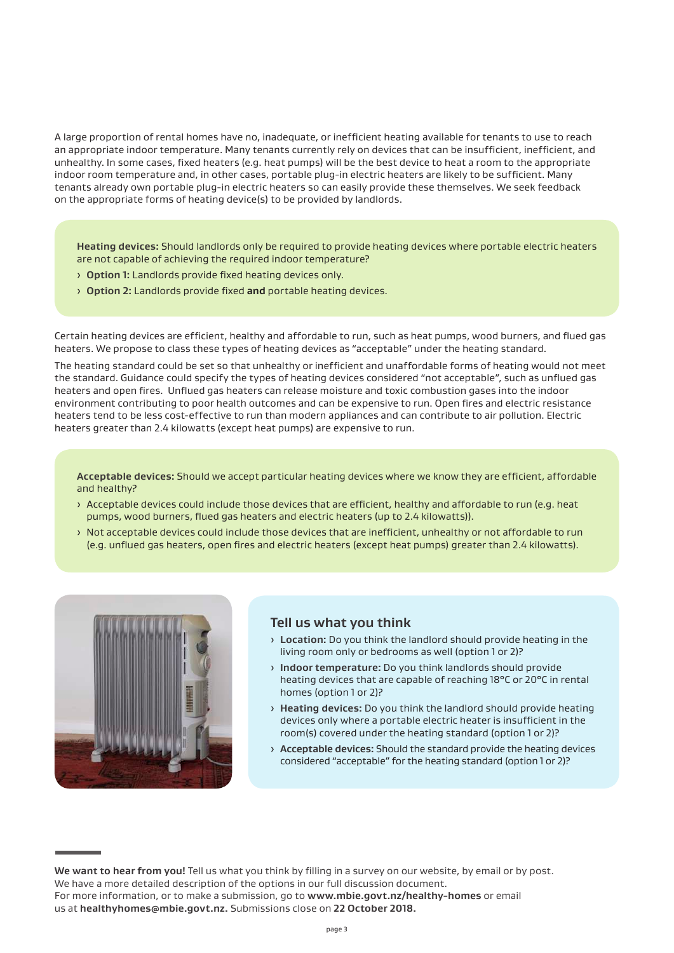A large proportion of rental homes have no, inadequate, or inefficient heating available for tenants to use to reach an appropriate indoor temperature. Many tenants currently rely on devices that can be insufficient, inefficient, and unhealthy. In some cases, fixed heaters (e.g. heat pumps) will be the best device to heat a room to the appropriate indoor room temperature and, in other cases, portable plug-in electric heaters are likely to be sufficient. Many tenants already own portable plug-in electric heaters so can easily provide these themselves. We seek feedback on the appropriate forms of heating device(s) to be provided by landlords.

**Heating devices:** Should landlords only be required to provide heating devices where portable electric heaters are not capable of achieving the required indoor temperature?

- › **Option 1:** Landlords provide fixed heating devices only.
- › **Option 2:** Landlords provide fixed **and** portable heating devices.

Certain heating devices are efficient, healthy and affordable to run, such as heat pumps, wood burners, and flued gas heaters. We propose to class these types of heating devices as "acceptable" under the heating standard.

The heating standard could be set so that unhealthy or inefficient and unaffordable forms of heating would not meet the standard. Guidance could specify the types of heating devices considered "not acceptable", such as unflued gas heaters and open fires. Unflued gas heaters can release moisture and toxic combustion gases into the indoor environment contributing to poor health outcomes and can be expensive to run. Open fires and electric resistance heaters tend to be less cost-effective to run than modern appliances and can contribute to air pollution. Electric heaters greater than 2.4 kilowatts (except heat pumps) are expensive to run.

**Acceptable devices:** Should we accept particular heating devices where we know they are efficient, affordable and healthy?

- › Acceptable devices could include those devices that are efficient, healthy and affordable to run (e.g. heat pumps, wood burners, flued gas heaters and electric heaters (up to 2.4 kilowatts)).
- › Not acceptable devices could include those devices that are inefficient, unhealthy or not affordable to run (e.g. unflued gas heaters, open fires and electric heaters (except heat pumps) greater than 2.4 kilowatts).



#### **Tell us what you think**

- › **Location:** Do you think the landlord should provide heating in the living room only or bedrooms as well (option 1 or 2)?
- › **Indoor temperature:** Do you think landlords should provide heating devices that are capable of reaching 18°C or 20°C in rental homes (option 1 or 2)?
- › **Heating devices:** Do you think the landlord should provide heating devices only where a portable electric heater is insufficient in the room(s) covered under the heating standard (option 1 or 2)?
- › **Acceptable devices:** Should the standard provide the heating devices considered "acceptable" for the heating standard (option 1 or 2)?

**We want to hear from you!** Tell us what you think by filling in a survey on our website, by email or by post. We have a more detailed description of the options in our full discussion document. For more information, or to make a submission, go to **www.mbie.govt.nz/healthy-homes** or email us at **healthyhomes@mbie.govt.nz.** Submissions close on **22 October 2018.**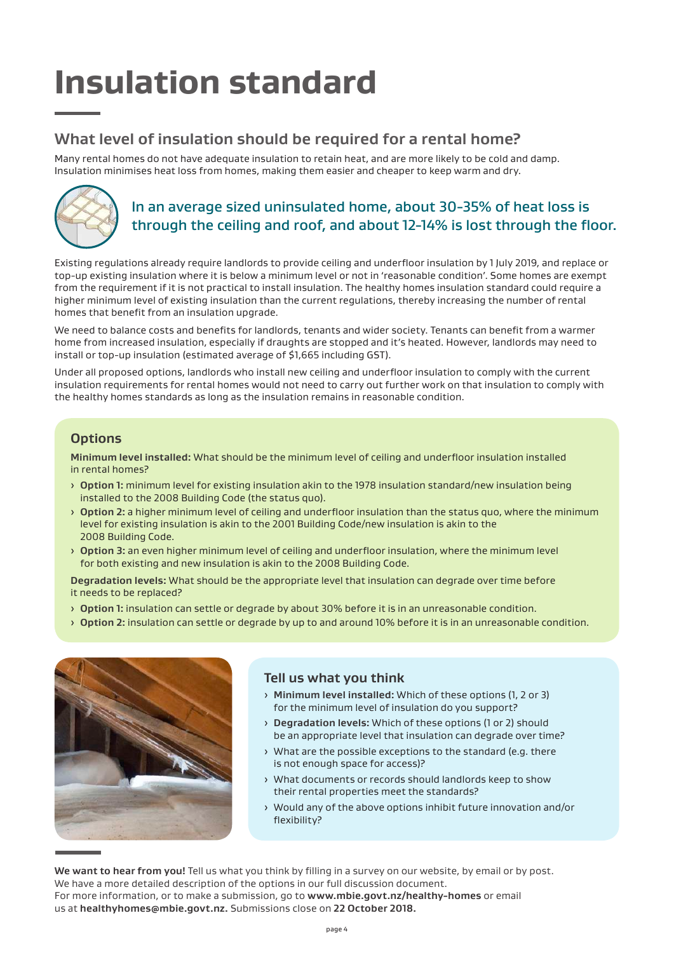# **Insulation standard**

## **What level of insulation should be required for a rental home?**

Many rental homes do not have adequate insulation to retain heat, and are more likely to be cold and damp. Insulation minimises heat loss from homes, making them easier and cheaper to keep warm and dry.



## In an average sized uninsulated home, about 30-35% of heat loss is through the ceiling and roof, and about 12-14% is lost through the floor.

Existing regulations already require landlords to provide ceiling and underfloor insulation by 1 July 2019, and replace or top-up existing insulation where it is below a minimum level or not in 'reasonable condition'. Some homes are exempt from the requirement if it is not practical to install insulation. The healthy homes insulation standard could require a higher minimum level of existing insulation than the current regulations, thereby increasing the number of rental homes that benefit from an insulation upgrade.

We need to balance costs and benefits for landlords, tenants and wider society. Tenants can benefit from a warmer home from increased insulation, especially if draughts are stopped and it's heated. However, landlords may need to install or top-up insulation (estimated average of \$1,665 including GST).

Under all proposed options, landlords who install new ceiling and underfloor insulation to comply with the current insulation requirements for rental homes would not need to carry out further work on that insulation to comply with the healthy homes standards as long as the insulation remains in reasonable condition.

### **Options**

**Minimum level installed:** What should be the minimum level of ceiling and underfloor insulation installed in rental homes?

- › **Option 1:** minimum level for existing insulation akin to the 1978 insulation standard/new insulation being installed to the 2008 Building Code (the status quo).
- › **Option 2:** a higher minimum level of ceiling and underfloor insulation than the status quo, where the minimum level for existing insulation is akin to the 2001 Building Code/new insulation is akin to the 2008 Building Code.
- › **Option 3:** an even higher minimum level of ceiling and underfloor insulation, where the minimum level for both existing and new insulation is akin to the 2008 Building Code.

**Degradation levels:** What should be the appropriate level that insulation can degrade over time before it needs to be replaced?

- › **Option 1:** insulation can settle or degrade by about 30% before it is in an unreasonable condition.
- › **Option 2:** insulation can settle or degrade by up to and around 10% before it is in an unreasonable condition.



### **Tell us what you think**

- › **Minimum level installed:** Which of these options (1, 2 or 3) for the minimum level of insulation do you support?
- › **Degradation levels:** Which of these options (1 or 2) should be an appropriate level that insulation can degrade over time?
- › What are the possible exceptions to the standard (e.g. there is not enough space for access)?
- › What documents or records should landlords keep to show their rental properties meet the standards?
- › Would any of the above options inhibit future innovation and/or flexibility?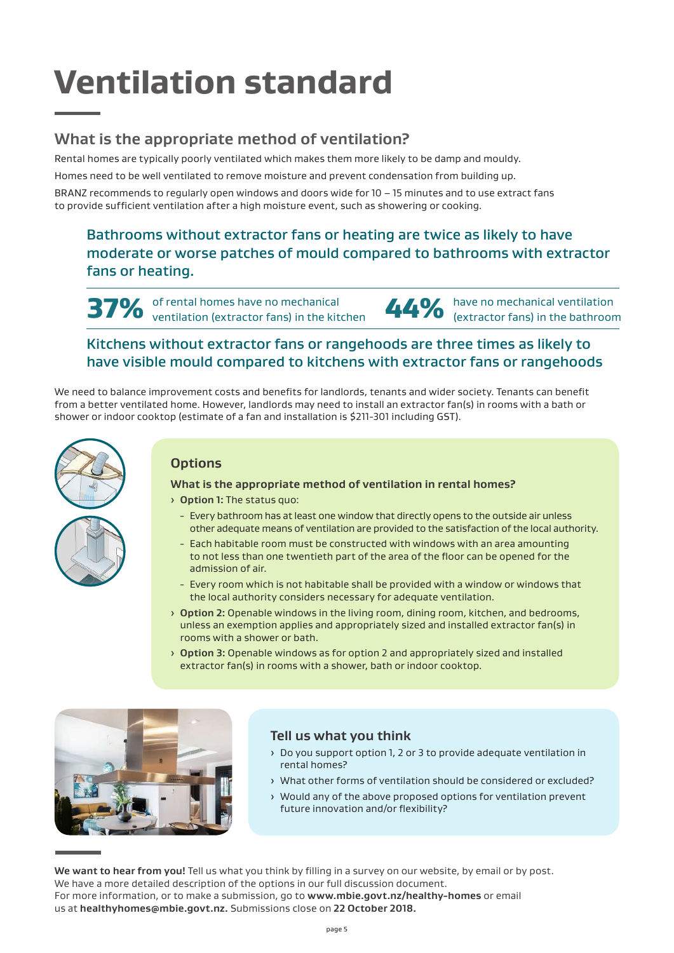# **Ventilation standard**

## **What is the appropriate method of ventilation?**

Rental homes are typically poorly ventilated which makes them more likely to be damp and mouldy. Homes need to be well ventilated to remove moisture and prevent condensation from building up.

BRANZ recommends to regularly open windows and doors wide for 10 – 15 minutes and to use extract fans to provide sufficient ventilation after a high moisture event, such as showering or cooking.

Bathrooms without extractor fans or heating are twice as likely to have moderate or worse patches of mould compared to bathrooms with extractor fans or heating.

37% of rental homes have no mechanical<br>37% ventilation (extractor fans) in the kitchen of rental homes have no mechanical<br>
ventilation (extractor fans) in the kitchen<br> **44%** (extractor fans) in the bathroom

### Kitchens without extractor fans or rangehoods are three times as likely to have visible mould compared to kitchens with extractor fans or rangehoods

We need to balance improvement costs and benefits for landlords, tenants and wider society. Tenants can benefit from a better ventilated home. However, landlords may need to install an extractor fan(s) in rooms with a bath or shower or indoor cooktop (estimate of a fan and installation is \$211-301 including GST).



### **Options**

#### **What is the appropriate method of ventilation in rental homes?**

› **Option 1:** The status quo:

- Every bathroom has at least one window that directly opens to the outside air unless other adequate means of ventilation are provided to the satisfaction of the local authority.
- Each habitable room must be constructed with windows with an area amounting to not less than one twentieth part of the area of the floor can be opened for the admission of air.
- Every room which is not habitable shall be provided with a window or windows that the local authority considers necessary for adequate ventilation.
- › **Option 2:** Openable windows in the living room, dining room, kitchen, and bedrooms, unless an exemption applies and appropriately sized and installed extractor fan(s) in rooms with a shower or bath.
- › **Option 3:** Openable windows as for option 2 and appropriately sized and installed extractor fan(s) in rooms with a shower, bath or indoor cooktop.



#### **Tell us what you think**

- › Do you support option 1, 2 or 3 to provide adequate ventilation in rental homes?
- › What other forms of ventilation should be considered or excluded?
- › Would any of the above proposed options for ventilation prevent future innovation and/or flexibility?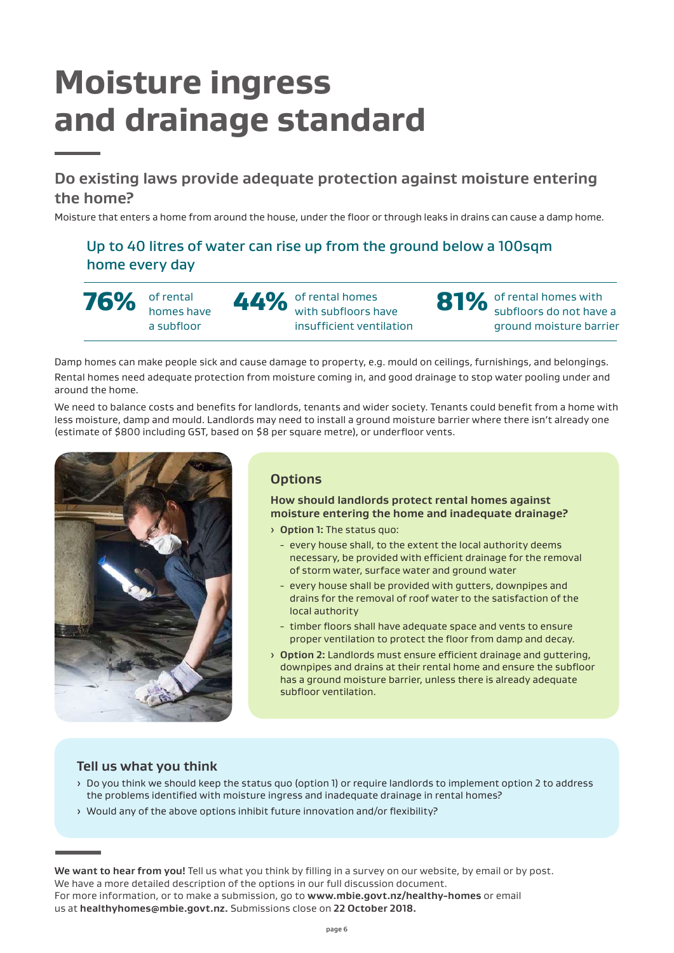# **Moisture ingress and drainage standard**

**Do existing laws provide adequate protection against moisture entering the home?** 

Moisture that enters a home from around the house, under the floor or through leaks in drains can cause a damp home.

Up to 40 litres of water can rise up from the ground below a 100sqm home every day

**76%** of rental homes have a subfloor

44% of rental homes with subfloors have insufficient ventilation 81% of rental homes with subfloors do not have a ground moisture barrier

Damp homes can make people sick and cause damage to property, e.g. mould on ceilings, furnishings, and belongings. Rental homes need adequate protection from moisture coming in, and good drainage to stop water pooling under and around the home.

We need to balance costs and benefits for landlords, tenants and wider society. Tenants could benefit from a home with less moisture, damp and mould. Landlords may need to install a ground moisture barrier where there isn't already one (estimate of \$800 including GST, based on \$8 per square metre), or underfloor vents.



### **Options**

**How should landlords protect rental homes against moisture entering the home and inadequate drainage?**

- › **Option 1:** The status quo:
	- every house shall, to the extent the local authority deems necessary, be provided with efficient drainage for the removal of storm water, surface water and ground water
	- every house shall be provided with gutters, downpipes and drains for the removal of roof water to the satisfaction of the local authority
	- timber floors shall have adequate space and vents to ensure proper ventilation to protect the floor from damp and decay.
- › **Option 2:** Landlords must ensure efficient drainage and guttering, downpipes and drains at their rental home and ensure the subfloor has a ground moisture barrier, unless there is already adequate subfloor ventilation.

#### **Tell us what you think**

- › Do you think we should keep the status quo (option 1) or require landlords to implement option 2 to address the problems identified with moisture ingress and inadequate drainage in rental homes?
- › Would any of the above options inhibit future innovation and/or flexibility?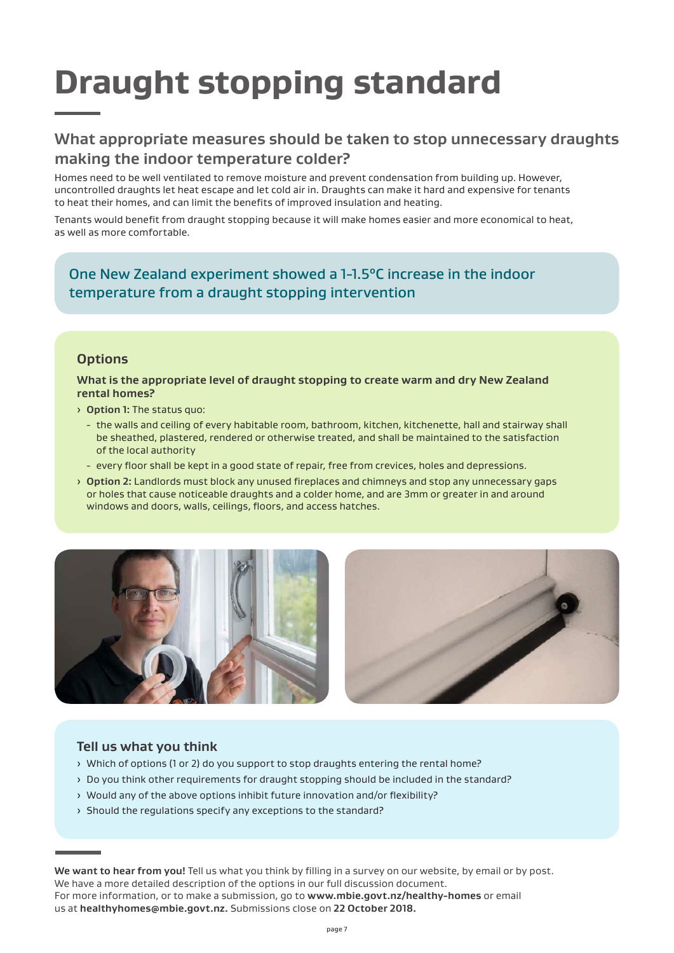# **Draught stopping standard**

### **What appropriate measures should be taken to stop unnecessary draughts making the indoor temperature colder?**

Homes need to be well ventilated to remove moisture and prevent condensation from building up. However, uncontrolled draughts let heat escape and let cold air in. Draughts can make it hard and expensive for tenants to heat their homes, and can limit the benefits of improved insulation and heating.

Tenants would benefit from draught stopping because it will make homes easier and more economical to heat, as well as more comfortable.

One New Zealand experiment showed a 1-1.5°C increase in the indoor temperature from a draught stopping intervention

#### **Options**

**What is the appropriate level of draught stopping to create warm and dry New Zealand rental homes?**

- › **Option 1:** The status quo:
	- the walls and ceiling of every habitable room, bathroom, kitchen, kitchenette, hall and stairway shall be sheathed, plastered, rendered or otherwise treated, and shall be maintained to the satisfaction of the local authority
	- every floor shall be kept in a good state of repair, free from crevices, holes and depressions.
- › **Option 2:** Landlords must block any unused fireplaces and chimneys and stop any unnecessary gaps or holes that cause noticeable draughts and a colder home, and are 3mm or greater in and around windows and doors, walls, ceilings, floors, and access hatches.





### **Tell us what you think**

- › Which of options (1 or 2) do you support to stop draughts entering the rental home?
- › Do you think other requirements for draught stopping should be included in the standard?
- › Would any of the above options inhibit future innovation and/or flexibility?
- › Should the regulations specify any exceptions to the standard?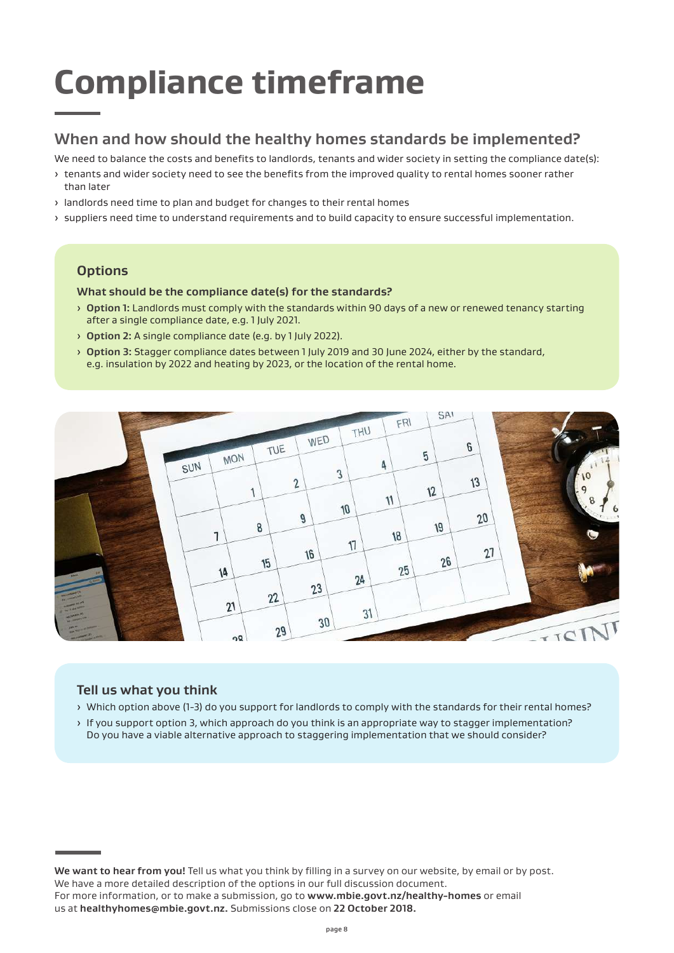# **Compliance timeframe**

## **When and how should the healthy homes standards be implemented?**

We need to balance the costs and benefits to landlords, tenants and wider society in setting the compliance date(s):

- › tenants and wider society need to see the benefits from the improved quality to rental homes sooner rather than later
- › landlords need time to plan and budget for changes to their rental homes
- › suppliers need time to understand requirements and to build capacity to ensure successful implementation.

### **Options**

#### **What should be the compliance date(s) for the standards?**

- › **Option 1:** Landlords must comply with the standards within 90 days of a new or renewed tenancy starting after a single compliance date, e.g. 1 July 2021.
- › **Option 2:** A single compliance date (e.g. by 1 July 2022).
- › **Option 3:** Stagger compliance dates between 1 July 2019 and 30 June 2024, either by the standard, e.g. insulation by 2022 and heating by 2023, or the location of the rental home.



### **Tell us what you think**

- › Which option above (1-3) do you support for landlords to comply with the standards for their rental homes?
- › If you support option 3, which approach do you think is an appropriate way to stagger implementation? Do you have a viable alternative approach to staggering implementation that we should consider?